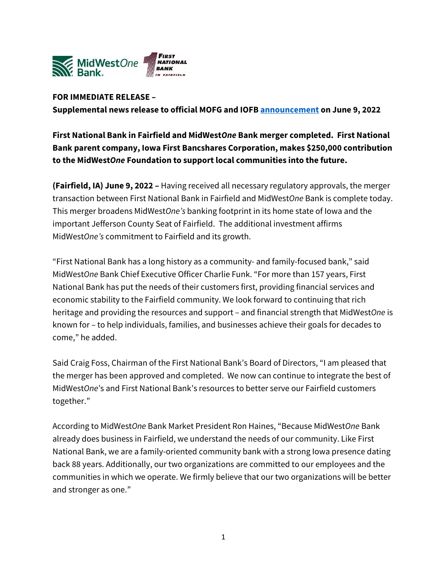

## **FOR IMMEDIATE RELEASE –**

**Supplemental news release to official MOFG and IOFB [announcement](https://www.midwestonefinancial.com/news-market-information/press-releases/default.aspx) on June 9, 2022**

**First National Bank in Fairfield and MidWest***One* **Bank merger completed. First National Bank parent company, Iowa First Bancshares Corporation, makes \$250,000 contribution to the MidWest***One* **Foundation to support local communities into the future.**

**(Fairfield, IA) June 9, 2022 –** Having received all necessary regulatory approvals, the merger transaction between First National Bank in Fairfield and MidWest*One* Bank is complete today. This merger broadens MidWest*One's* banking footprint in its home state of Iowa and the important Jefferson County Seat of Fairfield. The additional investment affirms MidWest*One's* commitment to Fairfield and its growth.

"First National Bank has a long history as a community- and family-focused bank," said MidWest*One* Bank Chief Executive Officer Charlie Funk. "For more than 157 years, First National Bank has put the needs of their customers first, providing financial services and economic stability to the Fairfield community. We look forward to continuing that rich heritage and providing the resources and support – and financial strength that MidWest*One* is known for – to help individuals, families, and businesses achieve their goals for decades to come," he added.

Said Craig Foss, Chairman of the First National Bank's Board of Directors, "I am pleased that the merger has been approved and completed. We now can continue to integrate the best of MidWest*One*'s and First National Bank's resources to better serve our Fairfield customers together."

According to MidWest*One* Bank Market President Ron Haines, "Because MidWest*One* Bank already does business in Fairfield, we understand the needs of our community. Like First National Bank, we are a family-oriented community bank with a strong Iowa presence dating back 88 years. Additionally, our two organizations are committed to our employees and the communities in which we operate. We firmly believe that our two organizations will be better and stronger as one."